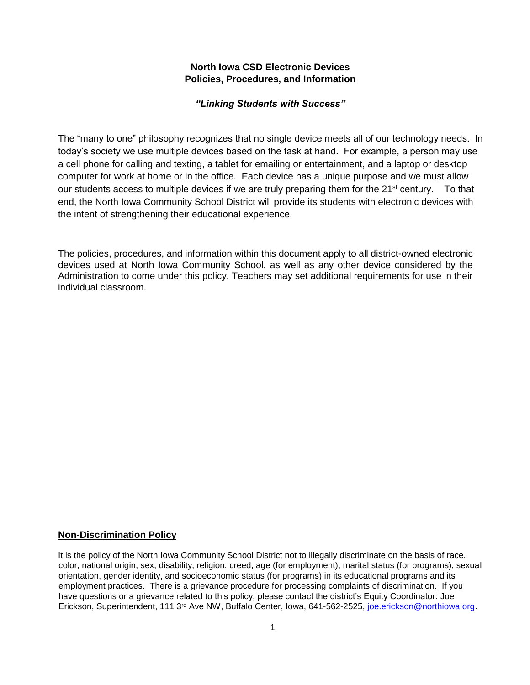## **North Iowa CSD Electronic Devices Policies, Procedures, and Information**

## *"Linking Students with Success"*

The "many to one" philosophy recognizes that no single device meets all of our technology needs. In today's society we use multiple devices based on the task at hand. For example, a person may use a cell phone for calling and texting, a tablet for emailing or entertainment, and a laptop or desktop computer for work at home or in the office. Each device has a unique purpose and we must allow our students access to multiple devices if we are truly preparing them for the  $21<sup>st</sup>$  century. To that end, the North Iowa Community School District will provide its students with electronic devices with the intent of strengthening their educational experience.

The policies, procedures, and information within this document apply to all district-owned electronic devices used at North Iowa Community School, as well as any other device considered by the Administration to come under this policy. Teachers may set additional requirements for use in their individual classroom.

#### **Non-Discrimination Policy**

It is the policy of the North Iowa Community School District not to illegally discriminate on the basis of race, color, national origin, sex, disability, religion, creed, age (for employment), marital status (for programs), sexual orientation, gender identity, and socioeconomic status (for programs) in its educational programs and its employment practices. There is a grievance procedure for processing complaints of discrimination. If you have questions or a grievance related to this policy, please contact the district's Equity Coordinator: Joe Erickson, Superintendent, 111 3<sup>rd</sup> Ave NW, Buffalo Center, Iowa, 641-562-2525, joe.erickson@northiowa.org.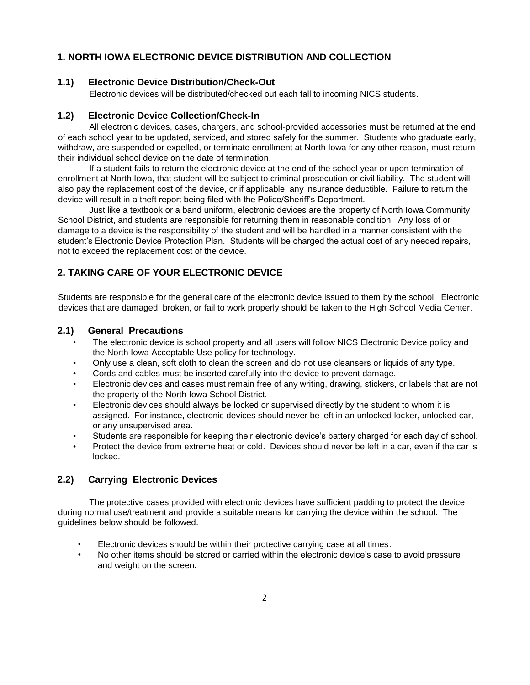# **1. NORTH IOWA ELECTRONIC DEVICE DISTRIBUTION AND COLLECTION**

#### **1.1) Electronic Device Distribution/Check-Out**

Electronic devices will be distributed/checked out each fall to incoming NICS students.

#### **1.2) Electronic Device Collection/Check-In**

All electronic devices, cases, chargers, and school-provided accessories must be returned at the end of each school year to be updated, serviced, and stored safely for the summer. Students who graduate early, withdraw, are suspended or expelled, or terminate enrollment at North Iowa for any other reason, must return their individual school device on the date of termination.

If a student fails to return the electronic device at the end of the school year or upon termination of enrollment at North Iowa, that student will be subject to criminal prosecution or civil liability. The student will also pay the replacement cost of the device, or if applicable, any insurance deductible. Failure to return the device will result in a theft report being filed with the Police/Sheriff's Department.

Just like a textbook or a band uniform, electronic devices are the property of North Iowa Community School District, and students are responsible for returning them in reasonable condition. Any loss of or damage to a device is the responsibility of the student and will be handled in a manner consistent with the student's Electronic Device Protection Plan. Students will be charged the actual cost of any needed repairs, not to exceed the replacement cost of the device.

#### **2. TAKING CARE OF YOUR ELECTRONIC DEVICE**

Students are responsible for the general care of the electronic device issued to them by the school. Electronic devices that are damaged, broken, or fail to work properly should be taken to the High School Media Center.

#### **2.1) General Precautions**

- The electronic device is school property and all users will follow NICS Electronic Device policy and the North Iowa Acceptable Use policy for technology.
- Only use a clean, soft cloth to clean the screen and do not use cleansers or liquids of any type.
- Cords and cables must be inserted carefully into the device to prevent damage.
- Electronic devices and cases must remain free of any writing, drawing, stickers, or labels that are not the property of the North Iowa School District.
- Electronic devices should always be locked or supervised directly by the student to whom it is assigned. For instance, electronic devices should never be left in an unlocked locker, unlocked car, or any unsupervised area.
- Students are responsible for keeping their electronic device's battery charged for each day of school.
- Protect the device from extreme heat or cold. Devices should never be left in a car, even if the car is locked.

### **2.2) Carrying Electronic Devices**

The protective cases provided with electronic devices have sufficient padding to protect the device during normal use/treatment and provide a suitable means for carrying the device within the school. The guidelines below should be followed.

- Electronic devices should be within their protective carrying case at all times.
- No other items should be stored or carried within the electronic device's case to avoid pressure and weight on the screen.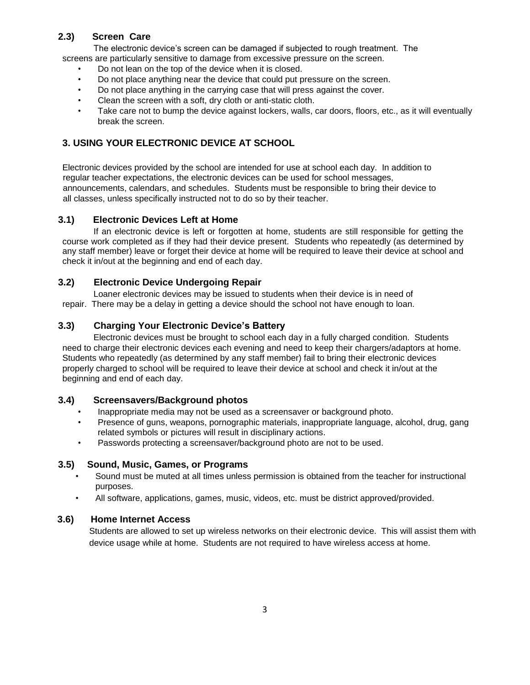## **2.3) Screen Care**

The electronic device's screen can be damaged if subjected to rough treatment. The

screens are particularly sensitive to damage from excessive pressure on the screen.

- Do not lean on the top of the device when it is closed.
- Do not place anything near the device that could put pressure on the screen.
- Do not place anything in the carrying case that will press against the cover.
- Clean the screen with a soft, dry cloth or anti-static cloth.
- Take care not to bump the device against lockers, walls, car doors, floors, etc., as it will eventually break the screen.

# **3. USING YOUR ELECTRONIC DEVICE AT SCHOOL**

Electronic devices provided by the school are intended for use at school each day. In addition to regular teacher expectations, the electronic devices can be used for school messages, announcements, calendars, and schedules. Students must be responsible to bring their device to all classes, unless specifically instructed not to do so by their teacher.

## **3.1) Electronic Devices Left at Home**

If an electronic device is left or forgotten at home, students are still responsible for getting the course work completed as if they had their device present. Students who repeatedly (as determined by any staff member) leave or forget their device at home will be required to leave their device at school and check it in/out at the beginning and end of each day.

## **3.2) Electronic Device Undergoing Repair**

Loaner electronic devices may be issued to students when their device is in need of repair. There may be a delay in getting a device should the school not have enough to loan.

# **3.3) Charging Your Electronic Device's Battery**

Electronic devices must be brought to school each day in a fully charged condition. Students need to charge their electronic devices each evening and need to keep their chargers/adaptors at home. Students who repeatedly (as determined by any staff member) fail to bring their electronic devices properly charged to school will be required to leave their device at school and check it in/out at the beginning and end of each day.

#### **3.4) Screensavers/Background photos**

- Inappropriate media may not be used as a screensaver or background photo.
- Presence of guns, weapons, pornographic materials, inappropriate language, alcohol, drug, gang related symbols or pictures will result in disciplinary actions.
- Passwords protecting a screensaver/background photo are not to be used.

#### **3.5) Sound, Music, Games, or Programs**

- Sound must be muted at all times unless permission is obtained from the teacher for instructional purposes.
- All software, applications, games, music, videos, etc. must be district approved/provided.

#### **3.6) Home Internet Access**

Students are allowed to set up wireless networks on their electronic device. This will assist them with device usage while at home. Students are not required to have wireless access at home.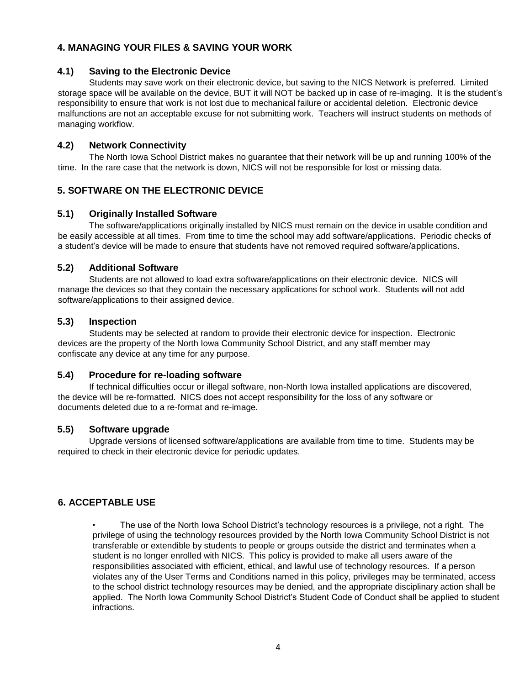# **4. MANAGING YOUR FILES & SAVING YOUR WORK**

### **4.1) Saving to the Electronic Device**

Students may save work on their electronic device, but saving to the NICS Network is preferred. Limited storage space will be available on the device, BUT it will NOT be backed up in case of re-imaging. It is the student's responsibility to ensure that work is not lost due to mechanical failure or accidental deletion. Electronic device malfunctions are not an acceptable excuse for not submitting work. Teachers will instruct students on methods of managing workflow.

## **4.2) Network Connectivity**

The North Iowa School District makes no guarantee that their network will be up and running 100% of the time. In the rare case that the network is down, NICS will not be responsible for lost or missing data.

# **5. SOFTWARE ON THE ELECTRONIC DEVICE**

## **5.1) Originally Installed Software**

The software/applications originally installed by NICS must remain on the device in usable condition and be easily accessible at all times. From time to time the school may add software/applications. Periodic checks of a student's device will be made to ensure that students have not removed required software/applications.

## **5.2) Additional Software**

Students are not allowed to load extra software/applications on their electronic device. NICS will manage the devices so that they contain the necessary applications for school work. Students will not add software/applications to their assigned device.

## **5.3) Inspection**

Students may be selected at random to provide their electronic device for inspection. Electronic devices are the property of the North Iowa Community School District, and any staff member may confiscate any device at any time for any purpose.

#### **5.4) Procedure for re-loading software**

If technical difficulties occur or illegal software, non-North Iowa installed applications are discovered, the device will be re-formatted. NICS does not accept responsibility for the loss of any software or documents deleted due to a re-format and re-image.

#### **5.5) Software upgrade**

Upgrade versions of licensed software/applications are available from time to time. Students may be required to check in their electronic device for periodic updates.

# **6. ACCEPTABLE USE**

• The use of the North Iowa School District's technology resources is a privilege, not a right. The privilege of using the technology resources provided by the North Iowa Community School District is not transferable or extendible by students to people or groups outside the district and terminates when a student is no longer enrolled with NICS. This policy is provided to make all users aware of the responsibilities associated with efficient, ethical, and lawful use of technology resources. If a person violates any of the User Terms and Conditions named in this policy, privileges may be terminated, access to the school district technology resources may be denied, and the appropriate disciplinary action shall be applied. The North Iowa Community School District's Student Code of Conduct shall be applied to student infractions.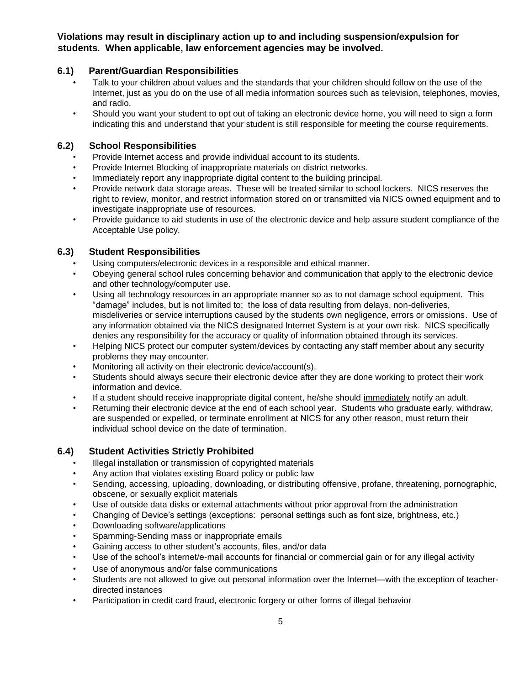# **Violations may result in disciplinary action up to and including suspension/expulsion for students. When applicable, law enforcement agencies may be involved.**

# **6.1) Parent/Guardian Responsibilities**

- Talk to your children about values and the standards that your children should follow on the use of the Internet, just as you do on the use of all media information sources such as television, telephones, movies, and radio.
- Should you want your student to opt out of taking an electronic device home, you will need to sign a form indicating this and understand that your student is still responsible for meeting the course requirements.

#### **6.2) School Responsibilities**

- Provide Internet access and provide individual account to its students.
- Provide Internet Blocking of inappropriate materials on district networks.
- Immediately report any inappropriate digital content to the building principal.
- Provide network data storage areas. These will be treated similar to school lockers. NICS reserves the right to review, monitor, and restrict information stored on or transmitted via NICS owned equipment and to investigate inappropriate use of resources.
- Provide guidance to aid students in use of the electronic device and help assure student compliance of the Acceptable Use policy.

# **6.3) Student Responsibilities**

- Using computers/electronic devices in a responsible and ethical manner.
- Obeying general school rules concerning behavior and communication that apply to the electronic device and other technology/computer use.
- Using all technology resources in an appropriate manner so as to not damage school equipment. This "damage" includes, but is not limited to: the loss of data resulting from delays, non-deliveries, misdeliveries or service interruptions caused by the students own negligence, errors or omissions. Use of any information obtained via the NICS designated Internet System is at your own risk. NICS specifically denies any responsibility for the accuracy or quality of information obtained through its services.
- Helping NICS protect our computer system/devices by contacting any staff member about any security problems they may encounter.
- Monitoring all activity on their electronic device/account(s).
- Students should always secure their electronic device after they are done working to protect their work information and device.
- If a student should receive inappropriate digital content, he/she should immediately notify an adult.
- Returning their electronic device at the end of each school year. Students who graduate early, withdraw, are suspended or expelled, or terminate enrollment at NICS for any other reason, must return their individual school device on the date of termination.

# **6.4) Student Activities Strictly Prohibited**

- Illegal installation or transmission of copyrighted materials
- Any action that violates existing Board policy or public law
- Sending, accessing, uploading, downloading, or distributing offensive, profane, threatening, pornographic, obscene, or sexually explicit materials
- Use of outside data disks or external attachments without prior approval from the administration
- Changing of Device's settings (exceptions: personal settings such as font size, brightness, etc.)
- Downloading software/applications
- Spamming-Sending mass or inappropriate emails
- Gaining access to other student's accounts, files, and/or data
- Use of the school's internet/e-mail accounts for financial or commercial gain or for any illegal activity
- Use of anonymous and/or false communications
- Students are not allowed to give out personal information over the Internet—with the exception of teacherdirected instances
- Participation in credit card fraud, electronic forgery or other forms of illegal behavior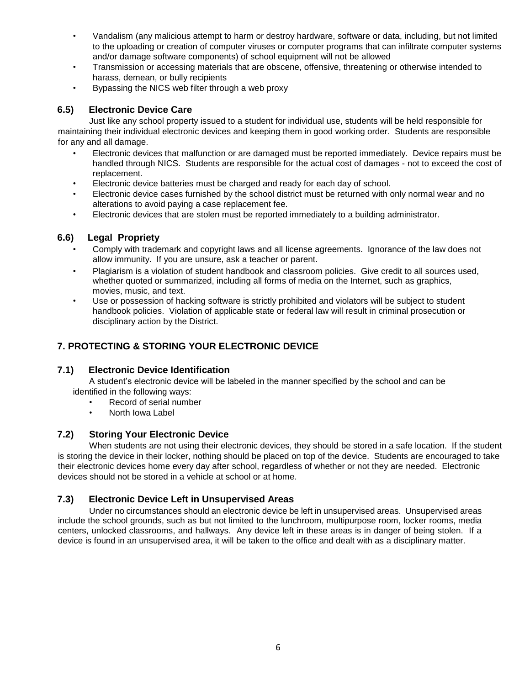- Vandalism (any malicious attempt to harm or destroy hardware, software or data, including, but not limited to the uploading or creation of computer viruses or computer programs that can infiltrate computer systems and/or damage software components) of school equipment will not be allowed
- Transmission or accessing materials that are obscene, offensive, threatening or otherwise intended to harass, demean, or bully recipients
- Bypassing the NICS web filter through a web proxy

# **6.5) Electronic Device Care**

Just like any school property issued to a student for individual use, students will be held responsible for maintaining their individual electronic devices and keeping them in good working order. Students are responsible for any and all damage.

- Electronic devices that malfunction or are damaged must be reported immediately. Device repairs must be handled through NICS. Students are responsible for the actual cost of damages - not to exceed the cost of replacement.
- Electronic device batteries must be charged and ready for each day of school.
- Electronic device cases furnished by the school district must be returned with only normal wear and no alterations to avoid paying a case replacement fee.
- Electronic devices that are stolen must be reported immediately to a building administrator.

# **6.6) Legal Propriety**

- Comply with trademark and copyright laws and all license agreements. Ignorance of the law does not allow immunity. If you are unsure, ask a teacher or parent.
- Plagiarism is a violation of student handbook and classroom policies. Give credit to all sources used, whether quoted or summarized, including all forms of media on the Internet, such as graphics, movies, music, and text.
- Use or possession of hacking software is strictly prohibited and violators will be subject to student handbook policies. Violation of applicable state or federal law will result in criminal prosecution or disciplinary action by the District.

# **7. PROTECTING & STORING YOUR ELECTRONIC DEVICE**

# **7.1) Electronic Device Identification**

A student's electronic device will be labeled in the manner specified by the school and can be identified in the following ways:

- Record of serial number
- North Iowa Label

# **7.2) Storing Your Electronic Device**

When students are not using their electronic devices, they should be stored in a safe location. If the student is storing the device in their locker, nothing should be placed on top of the device. Students are encouraged to take their electronic devices home every day after school, regardless of whether or not they are needed. Electronic devices should not be stored in a vehicle at school or at home.

# **7.3) Electronic Device Left in Unsupervised Areas**

Under no circumstances should an electronic device be left in unsupervised areas. Unsupervised areas include the school grounds, such as but not limited to the lunchroom, multipurpose room, locker rooms, media centers, unlocked classrooms, and hallways. Any device left in these areas is in danger of being stolen. If a device is found in an unsupervised area, it will be taken to the office and dealt with as a disciplinary matter.